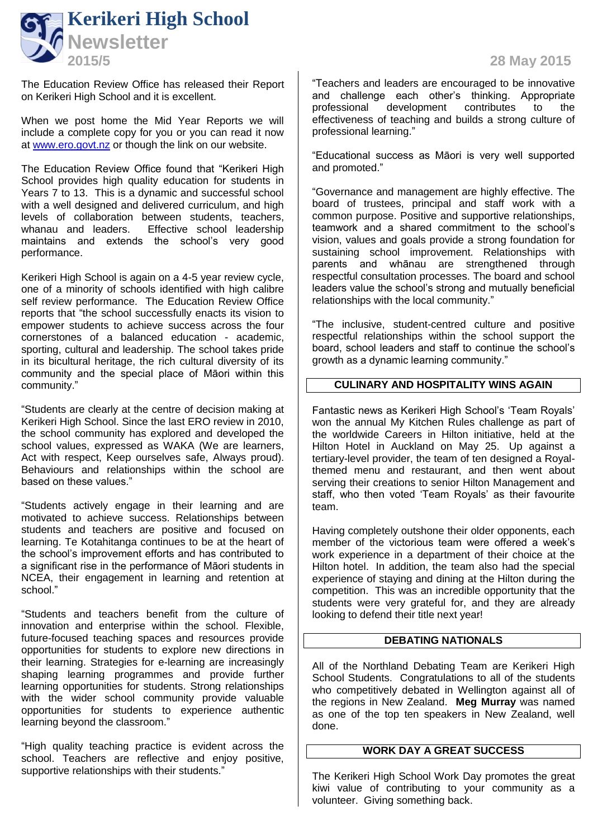The Education Review Office has released their Report on Kerikeri High School and it is excellent.

When we post home the Mid Year Reports we will include a complete copy for you or you can read it now at [www.ero.govt.nz](http://www.ero.govt.nz/) or though the link on our website.

The Education Review Office found that "Kerikeri High School provides high quality education for students in Years 7 to 13. This is a dynamic and successful school with a well designed and delivered curriculum, and high levels of collaboration between students, teachers, whanau and leaders. Effective school leadership maintains and extends the school's very good performance.

Kerikeri High School is again on a 4-5 year review cycle, one of a minority of schools identified with high calibre self review performance. The Education Review Office reports that "the school successfully enacts its vision to empower students to achieve success across the four cornerstones of a balanced education - academic, sporting, cultural and leadership. The school takes pride in its bicultural heritage, the rich cultural diversity of its community and the special place of Māori within this community."

"Students are clearly at the centre of decision making at Kerikeri High School. Since the last ERO review in 2010, the school community has explored and developed the school values, expressed as WAKA (We are learners, Act with respect, Keep ourselves safe, Always proud). Behaviours and relationships within the school are based on these values."

"Students actively engage in their learning and are motivated to achieve success. Relationships between students and teachers are positive and focused on learning. Te Kotahitanga continues to be at the heart of the school's improvement efforts and has contributed to a significant rise in the performance of Māori students in NCEA, their engagement in learning and retention at school."

"Students and teachers benefit from the culture of innovation and enterprise within the school. Flexible, future-focused teaching spaces and resources provide opportunities for students to explore new directions in their learning. Strategies for e-learning are increasingly shaping learning programmes and provide further learning opportunities for students. Strong relationships with the wider school community provide valuable opportunities for students to experience authentic learning beyond the classroom."

"High quality teaching practice is evident across the school. Teachers are reflective and enjoy positive, supportive relationships with their students."

"Teachers and leaders are encouraged to be innovative and challenge each other's thinking. Appropriate<br>professional development contributes to the development contributes to the effectiveness of teaching and builds a strong culture of professional learning."

"Educational success as Māori is very well supported and promoted."

"Governance and management are highly effective. The board of trustees, principal and staff work with a common purpose. Positive and supportive relationships, teamwork and a shared commitment to the school's vision, values and goals provide a strong foundation for sustaining school improvement. Relationships with parents and whānau are strengthened through respectful consultation processes. The board and school leaders value the school's strong and mutually beneficial relationships with the local community."

"The inclusive, student-centred culture and positive respectful relationships within the school support the board, school leaders and staff to continue the school's growth as a dynamic learning community."

## **CULINARY AND HOSPITALITY WINS AGAIN**

Fantastic news as Kerikeri High School's 'Team Royals' won the annual My Kitchen Rules challenge as part of the worldwide Careers in Hilton initiative, held at the Hilton Hotel in Auckland on May 25. Up against a tertiary-level provider, the team of ten designed a Royalthemed menu and restaurant, and then went about serving their creations to senior Hilton Management and staff, who then voted 'Team Royals' as their favourite team.

Having completely outshone their older opponents, each member of the victorious team were offered a week's work experience in a department of their choice at the Hilton hotel. In addition, the team also had the special experience of staying and dining at the Hilton during the competition. This was an incredible opportunity that the students were very grateful for, and they are already looking to defend their title next year!

## **DEBATING NATIONALS**

All of the Northland Debating Team are Kerikeri High School Students. Congratulations to all of the students who competitively debated in Wellington against all of the regions in New Zealand. **Meg Murray** was named as one of the top ten speakers in New Zealand, well done.

## **WORK DAY A GREAT SUCCESS**

The Kerikeri High School Work Day promotes the great kiwi value of contributing to your community as a volunteer. Giving something back.